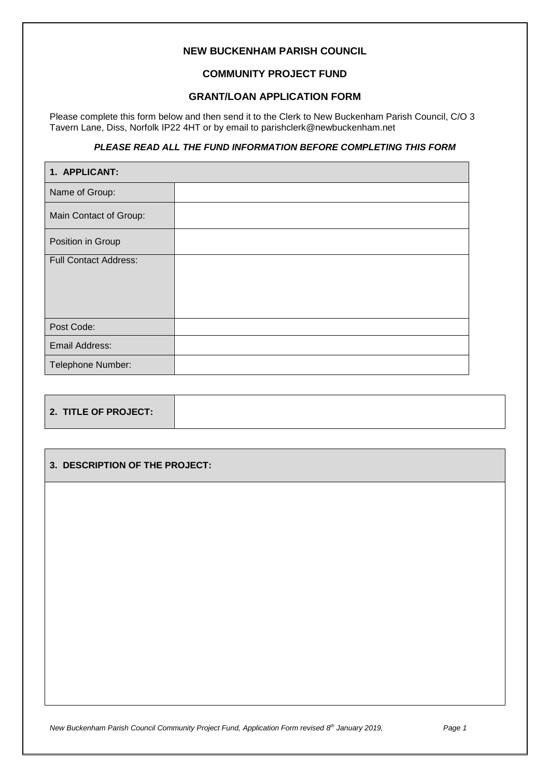# **NEW BUCKENHAM PARISH COUNCIL**

## **COMMUNITY PROJECT FUND**

### **GRANT/LOAN APPLICATION FORM**

Please complete this form below and then send it to the Clerk to New Buckenham Parish Council, C/O 3 Tavern Lane, Diss, Norfolk IP22 4HT or by email to parishclerk@newbuckenham.net

### *PLEASE READ ALL THE FUND INFORMATION BEFORE COMPLETING THIS FORM*

| 1. APPLICANT:                |  |
|------------------------------|--|
| Name of Group:               |  |
| Main Contact of Group:       |  |
| Position in Group            |  |
| <b>Full Contact Address:</b> |  |
|                              |  |
|                              |  |
| Post Code:                   |  |
| Email Address:               |  |
| Telephone Number:            |  |

| 2. TITLE OF PROJECT: |  |
|----------------------|--|
|----------------------|--|

### **3. DESCRIPTION OF THE PROJECT:**